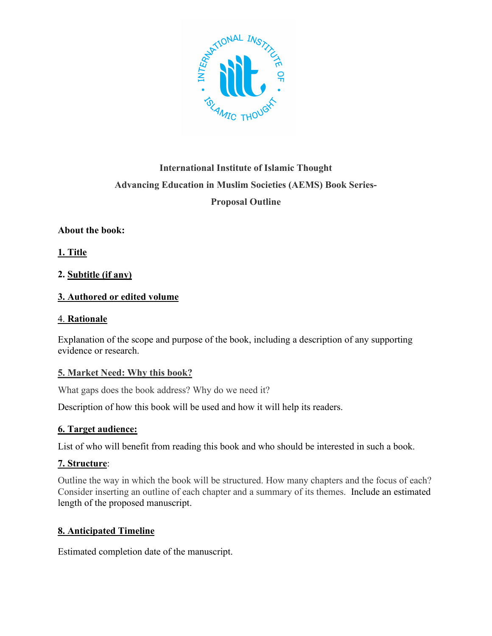

# **International Institute of Islamic Thought Advancing Education in Muslim Societies (AEMS) Book Series-Proposal Outline**

# **About the book:**

**1. Title**

# **2. Subtitle (if any)**

# **3. Authored or edited volume**

#### 4. **Rationale**

Explanation of the scope and purpose of the book, including a description of any supporting evidence or research.

## **5. Market Need: Why this book?**

What gaps does the book address? Why do we need it?

Description of how this book will be used and how it will help its readers.

## **6. Target audience:**

List of who will benefit from reading this book and who should be interested in such a book.

## **7. Structure**:

Outline the way in which the book will be structured. How many chapters and the focus of each? Consider inserting an outline of each chapter and a summary of its themes. Include an estimated length of the proposed manuscript.

## **8. Anticipated Timeline**

Estimated completion date of the manuscript.